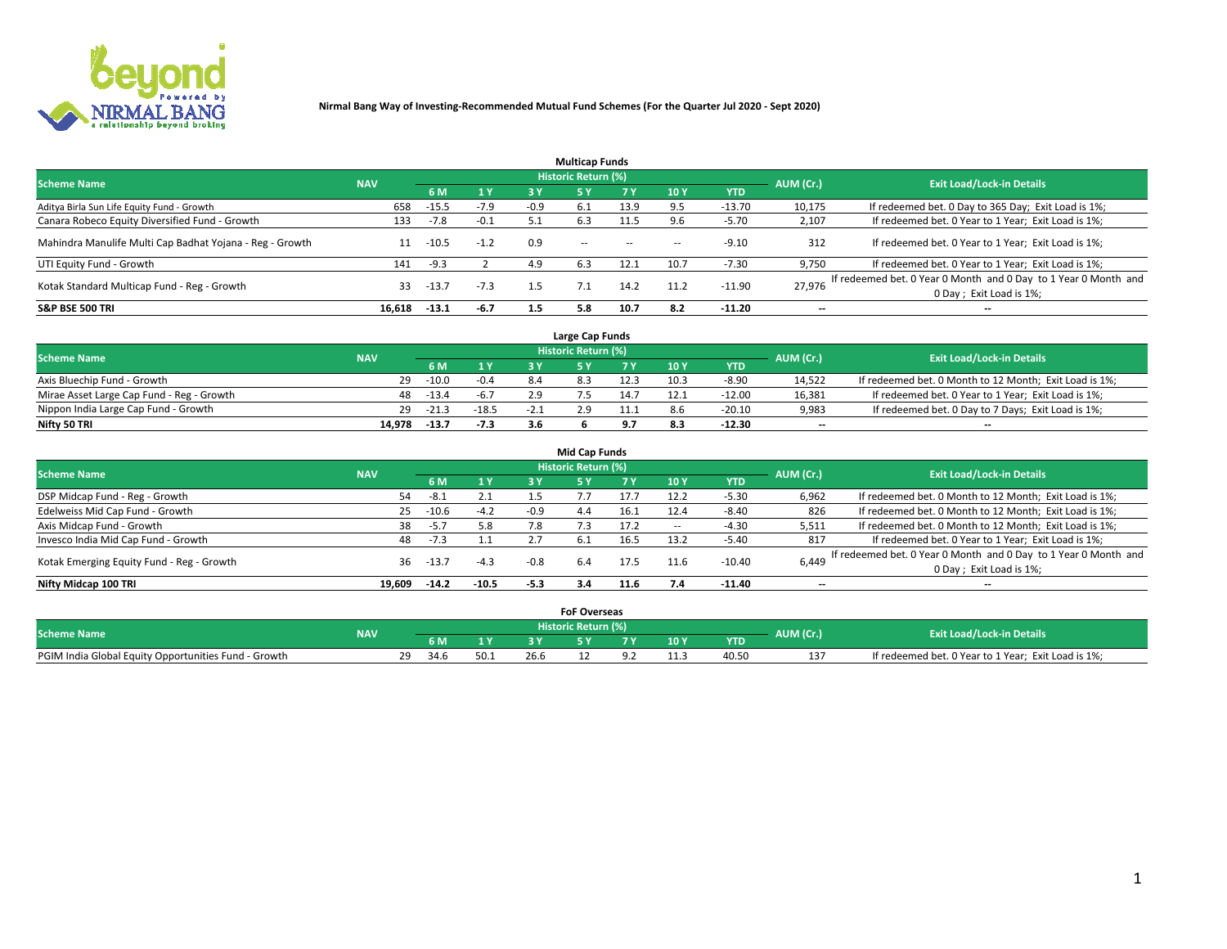

|                                                          |            |         |        |        | <b>Multicap Funds</b> |           |      |            |                          |                                                                                             |
|----------------------------------------------------------|------------|---------|--------|--------|-----------------------|-----------|------|------------|--------------------------|---------------------------------------------------------------------------------------------|
| <b>Scheme Name</b>                                       | <b>NAV</b> |         |        |        | Historic Return (%)   |           |      |            | AUM (Cr.)                | <b>Exit Load/Lock-in Details</b>                                                            |
|                                                          |            | 6 M     | 1 Y    | 3 Y    |                       | <b>7Y</b> | 10Y  | <b>YTD</b> |                          |                                                                                             |
| Aditya Birla Sun Life Equity Fund - Growth               | 658        | $-15.5$ | $-7.9$ | $-0.9$ | 6.1                   | 13.9      | 9.5  | $-13.70$   | 10,175                   | If redeemed bet. 0 Day to 365 Day; Exit Load is 1%;                                         |
| Canara Robeco Equity Diversified Fund - Growth           | 133        | $-7.8$  | $-0.1$ |        | 6.3                   | 11.5      | 9.6  | $-5.70$    | 2,107                    | If redeemed bet. 0 Year to 1 Year; Exit Load is 1%;                                         |
| Mahindra Manulife Multi Cap Badhat Yojana - Reg - Growth |            | $-10.5$ | $-1.2$ | 0.9    | $\sim$ $-$            | $\sim$    | --   | $-9.10$    | 312                      | If redeemed bet. 0 Year to 1 Year; Exit Load is 1%;                                         |
| UTI Equity Fund - Growth                                 | 141        | $-9.3$  |        | 4.9    | 6.3                   | 12.1      | 10.7 | $-7.30$    | 9,750                    | If redeemed bet. 0 Year to 1 Year; Exit Load is 1%;                                         |
| Kotak Standard Multicap Fund - Reg - Growth              | 33         | $-13.7$ | $-7.3$ | 1.5    |                       | 14.2      | 11.2 | $-11.90$   | 27.976                   | If redeemed bet. 0 Year 0 Month and 0 Day to 1 Year 0 Month and<br>0 Day ; Exit Load is 1%; |
| <b>S&amp;P BSE 500 TRI</b>                               | 16.618     | $-13.1$ | $-6.7$ | 1.5    | 5.8                   | 10.7      | 8.2  | $-11.20$   | $\overline{\phantom{a}}$ | $- -$                                                                                       |

|                                           |            |         |         |        | Large Cap Funds     |      |      |            |                          |                                                        |
|-------------------------------------------|------------|---------|---------|--------|---------------------|------|------|------------|--------------------------|--------------------------------------------------------|
| <b>Scheme Name</b>                        | <b>NAV</b> |         |         |        | Historic Return (%) |      |      |            | AUM (Cr.)                | <b>Exit Load/Lock-in Details</b>                       |
|                                           |            |         | 1 Y     |        |                     |      | 10 Y | <b>YTD</b> |                          |                                                        |
| Axis Bluechip Fund - Growth               | 29         | $-10.0$ | $-0.4$  | 8.4    |                     | 12.3 | 10.3 | $-8.90$    | 14,522                   | If redeemed bet. 0 Month to 12 Month; Exit Load is 1%; |
| Mirae Asset Large Cap Fund - Reg - Growth | 48.        | $-13.4$ | $-6.7$  |        |                     | 14.7 |      | $-12.00$   | 16,381                   | If redeemed bet. 0 Year to 1 Year; Exit Load is 1%;    |
| Nippon India Large Cap Fund - Growth      | 29         | $-21.3$ | $-18.5$ | $-2.1$ |                     |      |      | $-20.10$   | 9,983                    | If redeemed bet. 0 Day to 7 Days; Exit Load is 1%;     |
| Nifty 50 TRI                              | 14.978     | $-13.7$ | $-7.3$  |        |                     |      |      | $-12.30$   | $\overline{\phantom{a}}$ | $- -$                                                  |

|                                           |            |         |                |        | <b>Mid Cap Funds</b> |      |        |            |           |                                                                 |
|-------------------------------------------|------------|---------|----------------|--------|----------------------|------|--------|------------|-----------|-----------------------------------------------------------------|
| <b>Scheme Name</b>                        | <b>NAV</b> |         |                |        | Historic Return (%)  |      |        |            | AUM (Cr.) | <b>Exit Load/Lock-in Details</b>                                |
|                                           |            | 6 M     | 1 <sup>Y</sup> | 3 Y    | 5۱                   |      | 10Y    | <b>YTD</b> |           |                                                                 |
| DSP Midcap Fund - Reg - Growth            | 54         | $-8.1$  | 2.1            | 1.5    |                      | 17.7 | 12.2   | $-5.30$    | 6,962     | If redeemed bet. 0 Month to 12 Month; Exit Load is 1%;          |
| Edelweiss Mid Cap Fund - Growth           | 25         | $-10.6$ | $-4.2$         | -0.9   | 4.4                  | 16.1 | 12.4   | $-8.40$    | 826       | If redeemed bet. 0 Month to 12 Month; Exit Load is 1%;          |
| Axis Midcap Fund - Growth                 | 38         | -5.7    | 5.8            | 7.8    |                      | 17.2 | $\sim$ | $-4.30$    | 5,511     | If redeemed bet. 0 Month to 12 Month; Exit Load is 1%;          |
| Invesco India Mid Cap Fund - Growth       | 48         | -7.3    |                |        | 6.1                  |      | 13.2   | $-5.40$    | 817       | If redeemed bet. 0 Year to 1 Year; Exit Load is 1%;             |
| Kotak Emerging Equity Fund - Reg - Growth | 36         | -13.7   | $-4.3$         | $-0.8$ | 6.4                  | 17.5 | 11.6   | $-10.40$   | 6,449     | If redeemed bet. 0 Year 0 Month and 0 Day to 1 Year 0 Month and |
|                                           |            |         |                |        |                      |      |        |            |           | 0 Day; Exit Load is 1%;                                         |
| Nifty Midcap 100 TRI                      | 19.609     | $-14.2$ | $-10.5$        | $-5.3$ | 3.4                  | 11.6 | 7.4    | $-11.40$   | $- -$     | $- -$                                                           |

|                                                      |            |    |      |              |      | <b>FoF Overseas</b>   |     |      |            |           |                                                     |
|------------------------------------------------------|------------|----|------|--------------|------|-----------------------|-----|------|------------|-----------|-----------------------------------------------------|
| <b>Scheme Name</b>                                   | <b>NAV</b> |    |      |              |      | Historic Return (%) ' |     |      |            | AUM (Cr.) | <b>Exit Load/Lock-in Details</b>                    |
|                                                      |            |    |      | $\mathbf{v}$ |      |                       | . . | 10 Y | <b>YTD</b> |           |                                                     |
| PGIM India Global Equity Opportunities Fund - Growth |            | ٦Q | 34.6 |              | 26.6 |                       |     |      | 40.50      | 13<br>⊥⊃  | If redeemed bet. 0 Year to 1 Year; Exit Load is 1%; |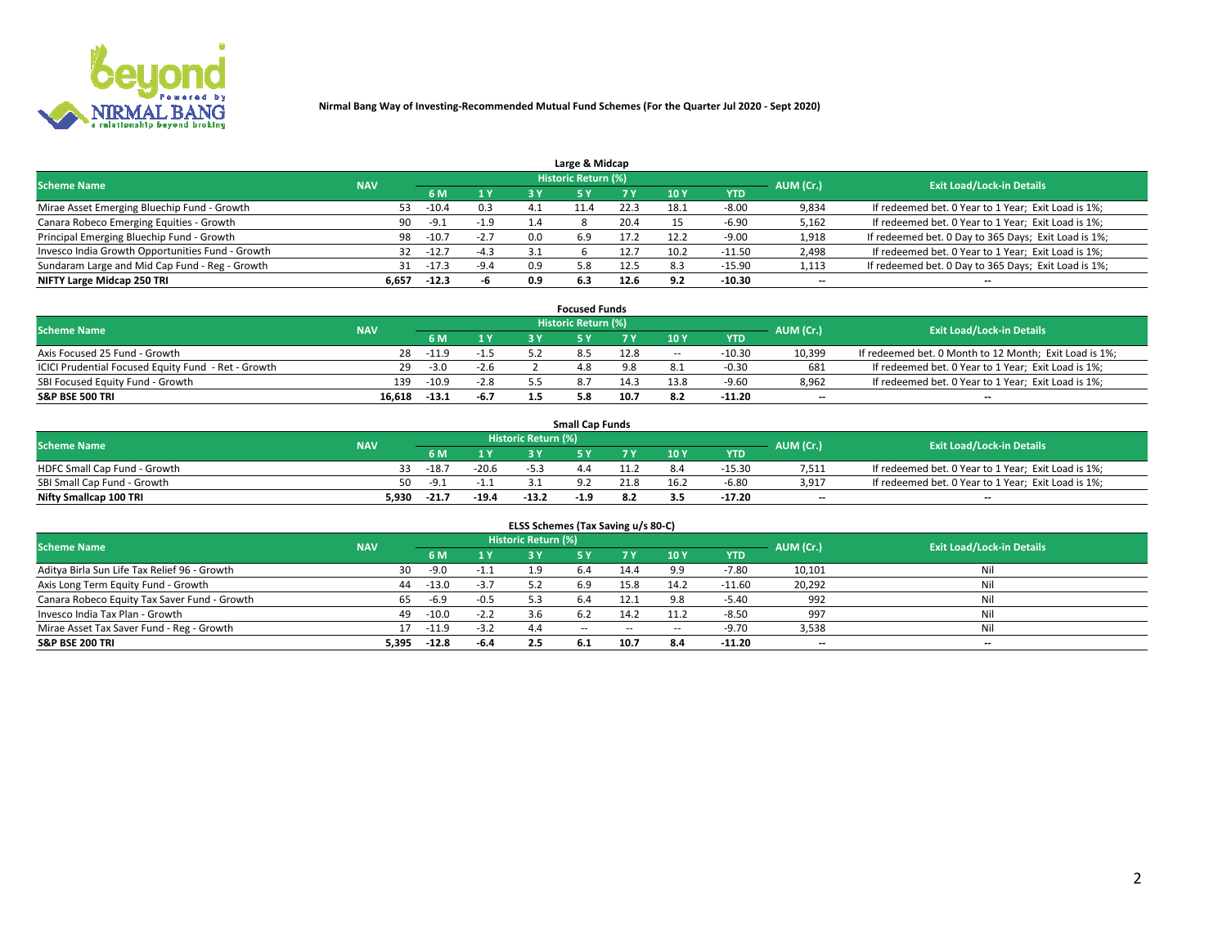

| Large & Midcap                                   |            |         |        |     |                     |      |      |            |                          |                                                      |  |  |  |  |
|--------------------------------------------------|------------|---------|--------|-----|---------------------|------|------|------------|--------------------------|------------------------------------------------------|--|--|--|--|
| <b>Scheme Name</b>                               | <b>NAV</b> |         |        |     | Historic Return (%) |      |      |            | AUM (Cr.)                | <b>Exit Load/Lock-in Details</b>                     |  |  |  |  |
|                                                  |            | 6 M     | 1 Y    | 3 Y |                     | 7 V  | 10Y  | <b>YTD</b> |                          |                                                      |  |  |  |  |
| Mirae Asset Emerging Bluechip Fund - Growth      | 53         | $-10.4$ | 0.3    | 4.1 |                     | 22.3 | 18∴  | $-8.00$    | 9,834                    | If redeemed bet. 0 Year to 1 Year; Exit Load is 1%;  |  |  |  |  |
| Canara Robeco Emerging Equities - Growth         | 90         | $-9.1$  | $-1.9$ | 1.4 |                     | 20.4 |      | $-6.90$    | 5,162                    | If redeemed bet. 0 Year to 1 Year; Exit Load is 1%;  |  |  |  |  |
| Principal Emerging Bluechip Fund - Growth        | 98         | $-10.7$ | $-2.7$ | 0.0 | 6.9                 | 17.2 | 12.2 | $-9.00$    | 1,918                    | If redeemed bet. 0 Day to 365 Days; Exit Load is 1%; |  |  |  |  |
| Invesco India Growth Opportunities Fund - Growth | 32         | $-12.7$ | $-4.3$ | 3.1 |                     |      | 10.2 | $-11.50$   | 2,498                    | If redeemed bet. 0 Year to 1 Year; Exit Load is 1%;  |  |  |  |  |
| Sundaram Large and Mid Cap Fund - Reg - Growth   | 31         | -17.3   | $-9.4$ | 0.9 | 5.8                 | 12.5 | 8.3  | $-15.90$   | 1,113                    | If redeemed bet. 0 Day to 365 Days; Exit Load is 1%; |  |  |  |  |
| NIFTY Large Midcap 250 TRI                       | 6.657      | $-12.3$ | -h     | 0.9 | 6.3                 |      | 9.2  | -10.30     | $\overline{\phantom{a}}$ | $- -$                                                |  |  |  |  |

|                                                     |            |         |        | <b>Focused Funds</b>       |      |        |            |                          |                                                        |
|-----------------------------------------------------|------------|---------|--------|----------------------------|------|--------|------------|--------------------------|--------------------------------------------------------|
| <b>Scheme Name</b>                                  | <b>NAV</b> |         |        | <b>Historic Return (%)</b> |      |        |            | AUM (Cr.)                | <b>Exit Load/Lock-in Details</b>                       |
|                                                     |            | 6 M     | 1 Y    |                            |      | 10 Y   | <b>YTD</b> |                          |                                                        |
| Axis Focused 25 Fund - Growth                       | 28         | $-11.9$ |        |                            | 12.8 | $\sim$ | $-10.30$   | 10,399                   | If redeemed bet. 0 Month to 12 Month; Exit Load is 1%; |
| ICICI Prudential Focused Equity Fund - Ret - Growth | 29         | $-3.0$  | $-2.6$ |                            |      |        | -0.30      | 681                      | If redeemed bet. 0 Year to 1 Year; Exit Load is 1%;    |
| SBI Focused Equity Fund - Growth                    | 139        | $-10.9$ | $-2.8$ |                            | 14.3 | 13.8   | $-9.60$    | 8,962                    | If redeemed bet. 0 Year to 1 Year; Exit Load is 1%;    |
| <b>S&amp;P BSE 500 TRI</b>                          | 16.618     | $-13.1$ | $-6.7$ |                            | 10.7 |        | $-11.20$   | $\overline{\phantom{a}}$ | $- -$                                                  |

|                              |            |         |         |                     | <b>Small Cap Funds</b> |     |                 |            |           |                                                     |
|------------------------------|------------|---------|---------|---------------------|------------------------|-----|-----------------|------------|-----------|-----------------------------------------------------|
| <b>Scheme Name</b>           | <b>NAV</b> |         |         | Historic Return (%) |                        |     |                 |            | AUM (Cr.) | <b>Exit Load/Lock-in Details</b>                    |
|                              |            | 6 M     | 1 Y     |                     |                        |     | 10 <sub>Y</sub> | <b>YTD</b> |           |                                                     |
| HDFC Small Cap Fund - Growth |            | $-18.7$ | $-20.6$ |                     |                        |     |                 | $-15.30$   | 7,511     | If redeemed bet. 0 Year to 1 Year; Exit Load is 1%; |
| SBI Small Cap Fund - Growth  | 50         | - _q    | $-1.1$  |                     |                        |     | 16.2            | $-6.80$    | 3,917     | If redeemed bet. 0 Year to 1 Year; Exit Load is 1%; |
| Nifty Smallcap 100 TRI       | 5.930      | $-21.7$ | $-19.4$ | $-13.2$             | -1.9                   | 8.2 | 3.5             | $-17.20$   | $- -$     | $- -$                                               |

| ELSS Schemes (Tax Saving u/s 80-C)           |            |         |        |                            |            |        |                          |            |                          |                                  |  |  |  |
|----------------------------------------------|------------|---------|--------|----------------------------|------------|--------|--------------------------|------------|--------------------------|----------------------------------|--|--|--|
| <b>Scheme Name</b>                           | <b>NAV</b> |         |        | <b>Historic Return (%)</b> |            |        |                          |            | AUM (Cr.)                | <b>Exit Load/Lock-in Details</b> |  |  |  |
|                                              |            | - 6 M   | 1Y     | 73 Y                       | <b>5Y</b>  | 7 Y    | 10 Y                     | <b>YTD</b> |                          |                                  |  |  |  |
| Aditya Birla Sun Life Tax Relief 96 - Growth | 30         | $-9.0$  | $-1.1$ |                            |            | 14.4   | 9.9                      | $-7.80$    | 10,101                   | Nil                              |  |  |  |
| Axis Long Term Equity Fund - Growth          | 44         | $-13.0$ | $-3.7$ | 57                         | 6.9        | 15.8   | 14.2                     | $-11.60$   | 20,292                   | Nil                              |  |  |  |
| Canara Robeco Equity Tax Saver Fund - Growth | 65         | $-6.9$  | $-0.5$ | 5.3                        | 6.4        | 12.1   | 9.8                      | $-5.40$    | 992                      | Nil                              |  |  |  |
| Invesco India Tax Plan - Growth              | 49         | $-10.0$ | $-2.2$ |                            |            | 14.2   | 11.2                     | $-8.50$    | 997                      | Nil                              |  |  |  |
| Mirae Asset Tax Saver Fund - Reg - Growth    |            | $-11.9$ | $-3.2$ | 4.4                        | $\sim$ $-$ | $\sim$ | $\overline{\phantom{a}}$ | $-9.70$    | 3,538                    | Nil                              |  |  |  |
| S&P BSE 200 TRI                              | 5,395      | $-12.8$ | -6.4   | 2.5                        |            | 10.7   | 8.4                      | $-11.20$   | $\overline{\phantom{a}}$ | $- -$                            |  |  |  |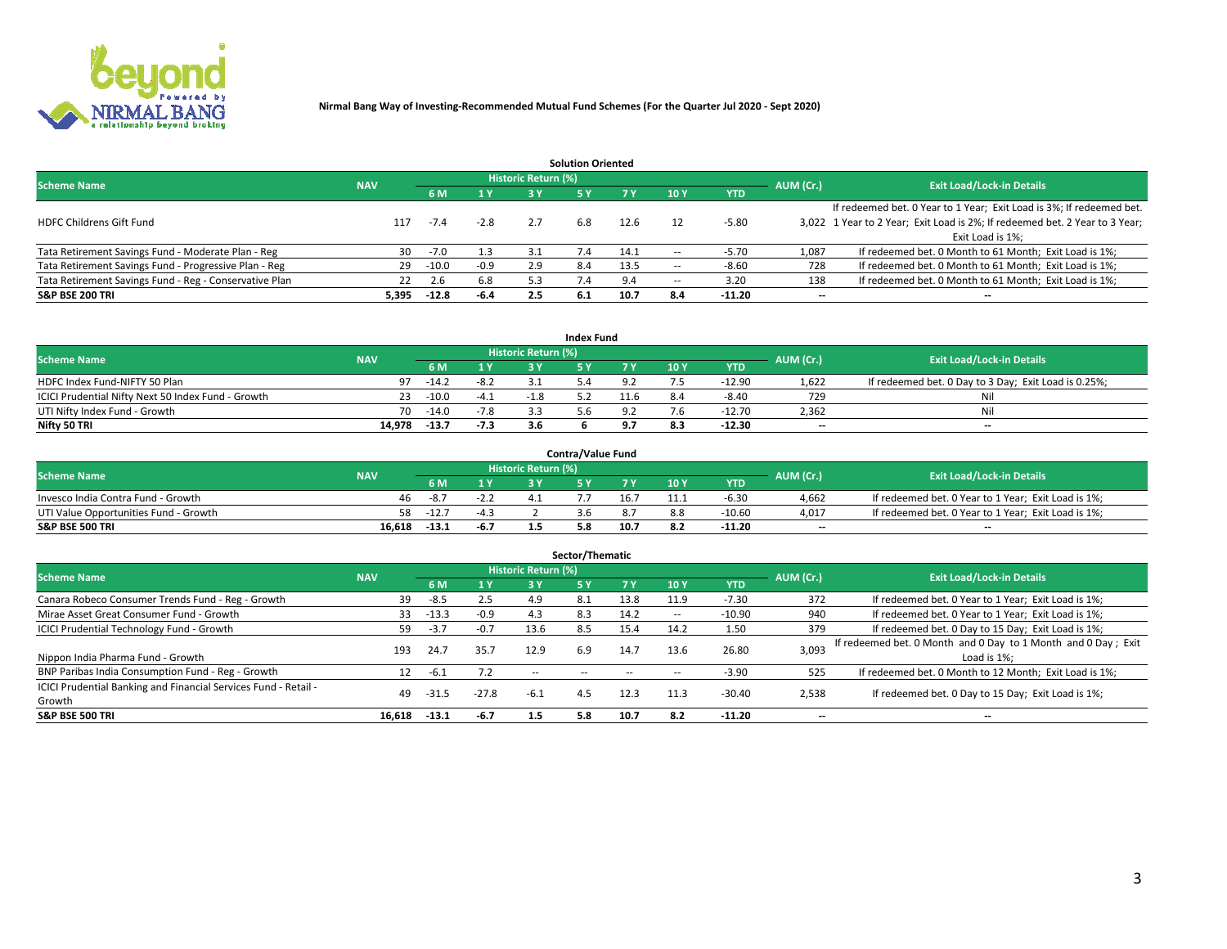

| <b>Solution Oriented</b>                               |            |            |        |                            |     |      |                          |            |                          |                                                                             |  |  |  |  |
|--------------------------------------------------------|------------|------------|--------|----------------------------|-----|------|--------------------------|------------|--------------------------|-----------------------------------------------------------------------------|--|--|--|--|
| <b>Scheme Name</b>                                     | <b>NAV</b> |            |        | <b>Historic Return (%)</b> |     |      |                          |            | AUM (Cr.)                | <b>Exit Load/Lock-in Details</b>                                            |  |  |  |  |
|                                                        |            | <b>6 M</b> | 1 Y    | 3 Y                        |     |      | 10Y                      | <b>YTD</b> |                          |                                                                             |  |  |  |  |
|                                                        |            |            |        |                            |     |      |                          |            |                          | If redeemed bet. 0 Year to 1 Year; Exit Load is 3%; If redeemed bet.        |  |  |  |  |
| <b>HDFC Childrens Gift Fund</b>                        | 117        | -7.4       | $-2.8$ | 2.7                        | 6.8 | 12.6 |                          | $-5.80$    |                          | 3,022 1 Year to 2 Year; Exit Load is 2%; If redeemed bet. 2 Year to 3 Year; |  |  |  |  |
|                                                        |            |            |        |                            |     |      |                          |            |                          | Exit Load is 1%:                                                            |  |  |  |  |
| Tata Retirement Savings Fund - Moderate Plan - Reg     | 30         | $-7.0$     | 1.3    | 3.1                        | 1.4 | 14.1 | --                       | $-5.70$    | 1,087                    | If redeemed bet. 0 Month to 61 Month; Exit Load is 1%;                      |  |  |  |  |
| Tata Retirement Savings Fund - Progressive Plan - Reg  | 29         | $-10.0$    | $-0.9$ | 2.9                        | 8.4 | 13.5 | $\overline{\phantom{a}}$ | $-8.60$    | 728                      | If redeemed bet. 0 Month to 61 Month; Exit Load is 1%;                      |  |  |  |  |
| Tata Retirement Savings Fund - Reg - Conservative Plan | 22         | 2.6        | 6.8    | 5.3                        |     | 9.4  | --                       | 3.20       | 138                      | If redeemed bet. 0 Month to 61 Month; Exit Load is 1%;                      |  |  |  |  |
| S&P BSE 200 TRI                                        | 5,395      | $-12.8$    | $-6.4$ | 2.5                        | 6.1 | 10.7 | 8.4                      | $-11.20$   | $\overline{\phantom{a}}$ | $- -$                                                                       |  |  |  |  |

|                                                    |            |         |                |                            | <b>Index Fund</b> |     |      |            |                          |                                                      |
|----------------------------------------------------|------------|---------|----------------|----------------------------|-------------------|-----|------|------------|--------------------------|------------------------------------------------------|
| <b>Scheme Name</b>                                 | <b>NAV</b> |         |                | <b>Historic Return (%)</b> |                   |     |      |            | AUM (Cr.)                | <b>Exit Load/Lock-in Details</b>                     |
|                                                    |            |         | $\sqrt{1}$ $V$ | 2 V                        |                   | 7 V | 10 Y | <b>YTD</b> |                          |                                                      |
| HDFC Index Fund-NIFTY 50 Plan                      | 97         | $-14.2$ | $-8.2$         |                            |                   |     |      | $-12.90$   | 1,622                    | If redeemed bet. 0 Day to 3 Day; Exit Load is 0.25%; |
| ICICI Prudential Nifty Next 50 Index Fund - Growth |            | $-10.0$ | $-4.1$         | $-1.8$                     |                   |     |      | $-8.40$    | 729                      | Nil                                                  |
| UTI Nifty Index Fund - Growth                      | 70         | $-14.0$ | $-7.8$         |                            |                   |     |      | $-12.70$   | 2,362                    | Nil                                                  |
| Nifty 50 TRI                                       | 14.978     | $-13.7$ | $-7.3$         |                            |                   |     |      | $-12.30$   | $\overline{\phantom{a}}$ | $- -$                                                |

|                                       |            |         |                                 |                            | <b>Contra/Value Fund</b> |      |     |            |                          |                                                     |
|---------------------------------------|------------|---------|---------------------------------|----------------------------|--------------------------|------|-----|------------|--------------------------|-----------------------------------------------------|
| <b>Scheme Name</b>                    | <b>NAV</b> |         |                                 | <b>Historic Return (%)</b> |                          |      |     |            | AUM (Cr.)                | <b>Exit Load/Lock-in Details</b>                    |
|                                       |            |         | $\boldsymbol{A} \boldsymbol{V}$ |                            |                          | 7 V  | 10Y | <b>YTD</b> |                          |                                                     |
| Invesco India Contra Fund - Growth    | 46         | $-8.7$  | -2.2                            |                            |                          | 16.  |     | -6.30      | 4,662                    | If redeemed bet. 0 Year to 1 Year; Exit Load is 1%; |
| UTI Value Opportunities Fund - Growth | 58         | $-12.7$ | -4.3                            |                            |                          |      |     | $-10.60$   | 4,017                    | If redeemed bet. 0 Year to 1 Year; Exit Load is 1%; |
| <b>S&amp;P BSE 500 TRI</b>            | 16.618     | -13.1   | $-6.7$                          |                            |                          | 10.7 |     | $-11.20$   | $\overline{\phantom{a}}$ | $- -$                                               |

| Sector/Thematic                                                           |            |         |         |                            |     |      |                          |            |           |                                                                              |  |  |  |  |
|---------------------------------------------------------------------------|------------|---------|---------|----------------------------|-----|------|--------------------------|------------|-----------|------------------------------------------------------------------------------|--|--|--|--|
| <b>Scheme Name</b>                                                        | <b>NAV</b> |         |         | <b>Historic Return (%)</b> |     |      |                          |            | AUM (Cr.) | <b>Exit Load/Lock-in Details</b>                                             |  |  |  |  |
|                                                                           |            | 6 M     | 1Y      | 3 Y                        | 5 Y |      | 10Y                      | <b>YTD</b> |           |                                                                              |  |  |  |  |
| Canara Robeco Consumer Trends Fund - Reg - Growth                         | 39         | $-8.5$  | 2.5     | 4.9                        | 8.1 | 13.8 | 11.9                     | $-7.30$    | 372       | If redeemed bet. 0 Year to 1 Year; Exit Load is 1%;                          |  |  |  |  |
| Mirae Asset Great Consumer Fund - Growth                                  | 33         | $-13.3$ | $-0.9$  | 4.3                        | 8.3 | 14.2 | $\overline{\phantom{a}}$ | $-10.90$   | 940       | If redeemed bet. 0 Year to 1 Year; Exit Load is 1%;                          |  |  |  |  |
| <b>ICICI Prudential Technology Fund - Growth</b>                          | 59         | $-3.7$  | $-0.7$  | 13.6                       | 8.5 | 15.4 | 14.2                     | 1.50       | 379       | If redeemed bet. 0 Day to 15 Day; Exit Load is 1%;                           |  |  |  |  |
| Nippon India Pharma Fund - Growth                                         | 193        | 24.7    | 35.7    | 12.9                       | 6.9 | 14.7 | 13.6                     | 26.80      | 3,093     | If redeemed bet. 0 Month and 0 Day to 1 Month and 0 Day; Exit<br>Load is 1%: |  |  |  |  |
| BNP Paribas India Consumption Fund - Reg - Growth                         | 12         | $-6.1$  | 7.2     | $\sim$ $-$                 |     |      |                          | $-3.90$    | 525       | If redeemed bet. 0 Month to 12 Month; Exit Load is 1%;                       |  |  |  |  |
| ICICI Prudential Banking and Financial Services Fund - Retail -<br>Growth | 49         | -31.5   | $-27.8$ | $-6.1$                     | 4.5 | 12.3 | 11.3                     | $-30.40$   | 2,538     | If redeemed bet. 0 Day to 15 Day; Exit Load is 1%;                           |  |  |  |  |
| <b>S&amp;P BSE 500 TRI</b>                                                | 16,618     | $-13.1$ | -6.7    | 1.5                        | 5.8 | 10.7 | 8.2                      | $-11.20$   | --        | $- -$                                                                        |  |  |  |  |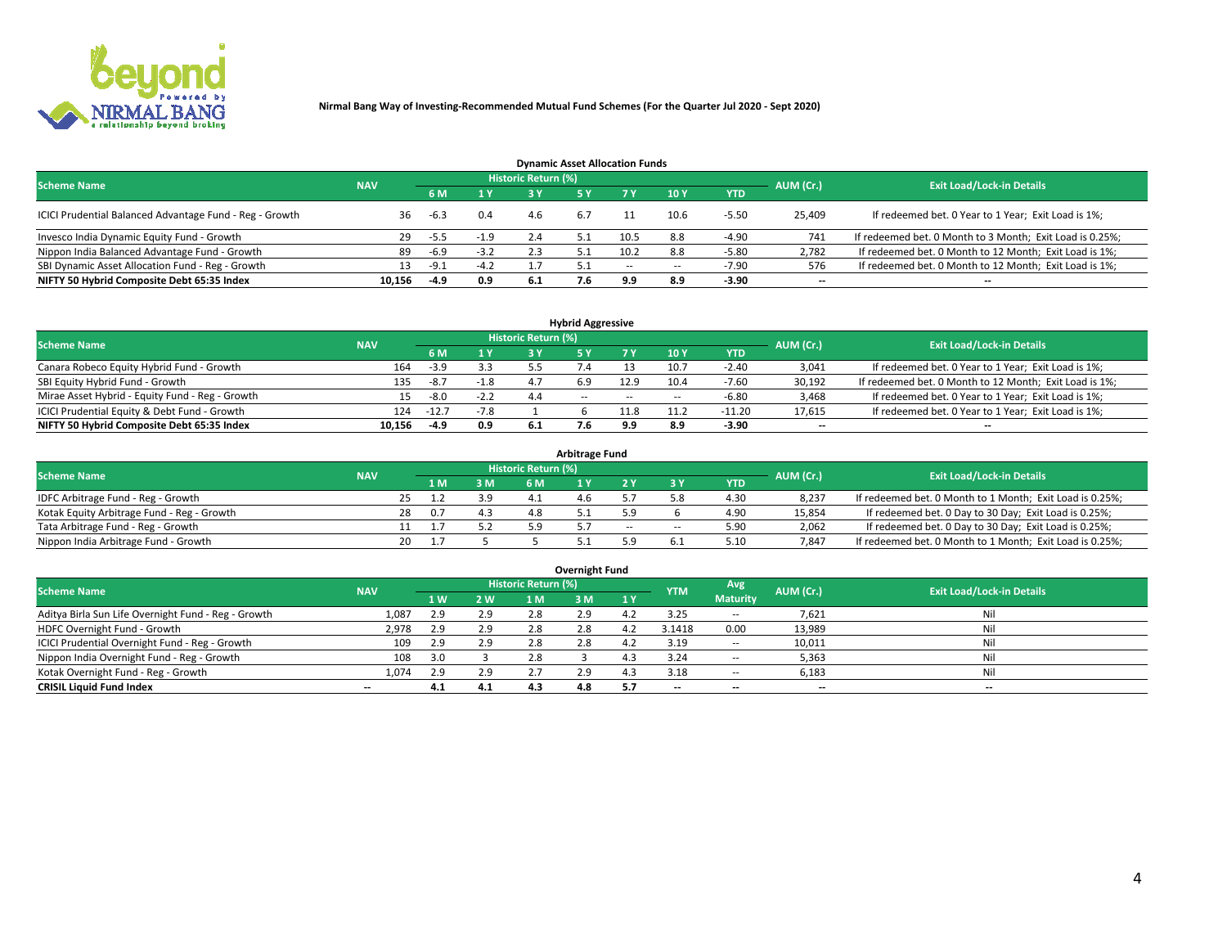

| <b>Dynamic Asset Allocation Funds</b>                   |            |        |        |                            |     |        |                          |            |                          |                                                          |  |  |  |  |
|---------------------------------------------------------|------------|--------|--------|----------------------------|-----|--------|--------------------------|------------|--------------------------|----------------------------------------------------------|--|--|--|--|
| <b>Scheme Name</b>                                      | <b>NAV</b> |        |        | <b>Historic Return (%)</b> |     |        |                          |            | AUM (Cr.)                | <b>Exit Load/Lock-in Details</b>                         |  |  |  |  |
|                                                         |            | 6 M    | 1 Y    |                            |     |        | 10 <sub>Y</sub>          | <b>YTD</b> |                          |                                                          |  |  |  |  |
| ICICI Prudential Balanced Advantage Fund - Reg - Growth | 36         | -6.3   | 0.4    | 4.6                        | 6.7 |        | 10.6                     | $-5.50$    | 25,409                   | If redeemed bet. 0 Year to 1 Year; Exit Load is 1%;      |  |  |  |  |
| Invesco India Dynamic Equity Fund - Growth              | 29         | $-5.5$ | $-1.9$ | 2.4                        |     | 10.5   | 8.8                      | $-4.90$    | 741                      | If redeemed bet. 0 Month to 3 Month; Exit Load is 0.25%; |  |  |  |  |
| Nippon India Balanced Advantage Fund - Growth           | 89         | $-6.9$ | $-3.2$ | 2.3                        |     | 10.2   | 8.8                      | $-5.80$    | 2,782                    | If redeemed bet. 0 Month to 12 Month; Exit Load is 1%;   |  |  |  |  |
| SBI Dynamic Asset Allocation Fund - Reg - Growth        | 13.        | -9.1   | $-4.2$ |                            |     | $\sim$ | $\overline{\phantom{a}}$ | $-7.90$    | 576                      | If redeemed bet. 0 Month to 12 Month; Exit Load is 1%;   |  |  |  |  |
| NIFTY 50 Hybrid Composite Debt 65:35 Index              | 10,156     | -4.9   | 0.9    | 6.1                        |     | 9.9    | 8.9                      | $-3.90$    | $\overline{\phantom{a}}$ |                                                          |  |  |  |  |

|                                                 |            |         |        |                            | <b>Hybrid Aggressive</b> |        |      |            |                          |                                                        |
|-------------------------------------------------|------------|---------|--------|----------------------------|--------------------------|--------|------|------------|--------------------------|--------------------------------------------------------|
| <b>Scheme Name</b>                              | <b>NAV</b> |         |        | <b>Historic Return (%)</b> |                          |        |      |            | AUM (Cr.)                | <b>Exit Load/Lock-in Details</b>                       |
|                                                 |            | 6 M     | 1 Y    |                            |                          | 7 V    | 10Y  | <b>YTD</b> |                          |                                                        |
| Canara Robeco Equity Hybrid Fund - Growth       | 164        | $-3.9$  | 3.3    |                            |                          |        | 10.7 | $-2.40$    | 3,041                    | If redeemed bet. 0 Year to 1 Year; Exit Load is 1%;    |
| SBI Equity Hybrid Fund - Growth                 | 135        | $-8.7$  | $-1.8$ |                            |                          |        | 10.4 | $-7.60$    | 30,192                   | If redeemed bet. 0 Month to 12 Month; Exit Load is 1%; |
| Mirae Asset Hybrid - Equity Fund - Reg - Growth | 15         | -8.0    | $-2.2$ | 4.4                        | $\sim$ $\sim$            | $\sim$ | --   | $-6.80$    | 3,468                    | If redeemed bet. 0 Year to 1 Year; Exit Load is 1%;    |
| ICICI Prudential Equity & Debt Fund - Growth    | 124        | $-12.7$ | $-7.8$ |                            |                          | 1.8    |      | $-11.20$   | 17,615                   | If redeemed bet. 0 Year to 1 Year; Exit Load is 1%;    |
| NIFTY 50 Hybrid Composite Debt 65:35 Index      | 10.156     | -4.9    | 0.9    | 6.1                        |                          | 9.9    |      | -3.90      | $\overline{\phantom{a}}$ | $- -$                                                  |

| <b>Arbitrage Fund</b>                      |            |     |  |     |                     |  |      |        |      |           |                                                          |  |  |  |
|--------------------------------------------|------------|-----|--|-----|---------------------|--|------|--------|------|-----------|----------------------------------------------------------|--|--|--|
| <b>Scheme Name</b>                         | <b>NAV</b> |     |  |     | Historic Return (%) |  |      |        |      | AUM (Cr.) | <b>Exit Load/Lock-in Details</b>                         |  |  |  |
|                                            |            | 1 M |  | 3 M |                     |  |      |        | YTD  |           |                                                          |  |  |  |
| IDFC Arbitrage Fund - Reg - Growth         |            | 25  |  | 3.9 |                     |  |      |        | 4.3C | 8,237     | If redeemed bet. 0 Month to 1 Month; Exit Load is 0.25%; |  |  |  |
| Kotak Equity Arbitrage Fund - Reg - Growth |            | 28  |  | 4.3 | 4.8                 |  |      |        | 4.90 | 15,854    | If redeemed bet. 0 Day to 30 Day; Exit Load is 0.25%;    |  |  |  |
| Tata Arbitrage Fund - Reg - Growth         |            |     |  | 5.2 | 59                  |  | $-1$ | $\sim$ | 5.90 | 2,062     | If redeemed bet. 0 Day to 30 Day; Exit Load is 0.25%;    |  |  |  |
| Nippon India Arbitrage Fund - Growth       |            | 20  |  |     |                     |  |      |        | 5.10 | 7,847     | If redeemed bet. 0 Month to 1 Month; Exit Load is 0.25%; |  |  |  |

| Overnight Fund                                      |            |     |     |                     |     |           |            |                 |                          |                                  |  |  |  |  |
|-----------------------------------------------------|------------|-----|-----|---------------------|-----|-----------|------------|-----------------|--------------------------|----------------------------------|--|--|--|--|
| <b>Scheme Name</b>                                  | <b>NAV</b> |     |     | Historic Return (%) |     |           | <b>YTM</b> | Avg             | AUM (Cr.)                | <b>Exit Load/Lock-in Details</b> |  |  |  |  |
|                                                     |            | 1 W | 2 W | 1 M                 | 3 M | <b>1Y</b> |            | <b>Maturity</b> |                          |                                  |  |  |  |  |
| Aditya Birla Sun Life Overnight Fund - Reg - Growth | 1,087      | 2.9 | 2.9 | 2.8                 | 2.9 | 4.Z       | 3.25       | $- -$           | 7,621                    | Nil                              |  |  |  |  |
| HDFC Overnight Fund - Growth                        | 2,978      | 2.9 | 2.9 | 2.8                 | 2.8 |           | 3.1418     | 0.00            | 13,989                   | Nil                              |  |  |  |  |
| ICICI Prudential Overnight Fund - Reg - Growth      | 109        | 2.9 | 2.9 | 2.8                 | 2.8 |           | 3.19       | $\sim$ $\sim$   | 10,011                   | Nil                              |  |  |  |  |
| Nippon India Overnight Fund - Reg - Growth          | 108        |     |     | 2.8                 |     |           | 3.24       | $\sim$ $-$      | 5,363                    | Nil                              |  |  |  |  |
| Kotak Overnight Fund - Reg - Growth                 | 1.074      | 2.9 | 2.9 |                     | 2.9 | 4.3       | 3.18       | $\sim$ $-$      | 6,183                    | Nil                              |  |  |  |  |
| <b>CRISIL Liquid Fund Index</b>                     | $- -$      | 4.1 | 4.1 | 4.3                 | 4.8 | 5.7       | --         | --              | $\overline{\phantom{a}}$ | --                               |  |  |  |  |

### **Overnight Fund**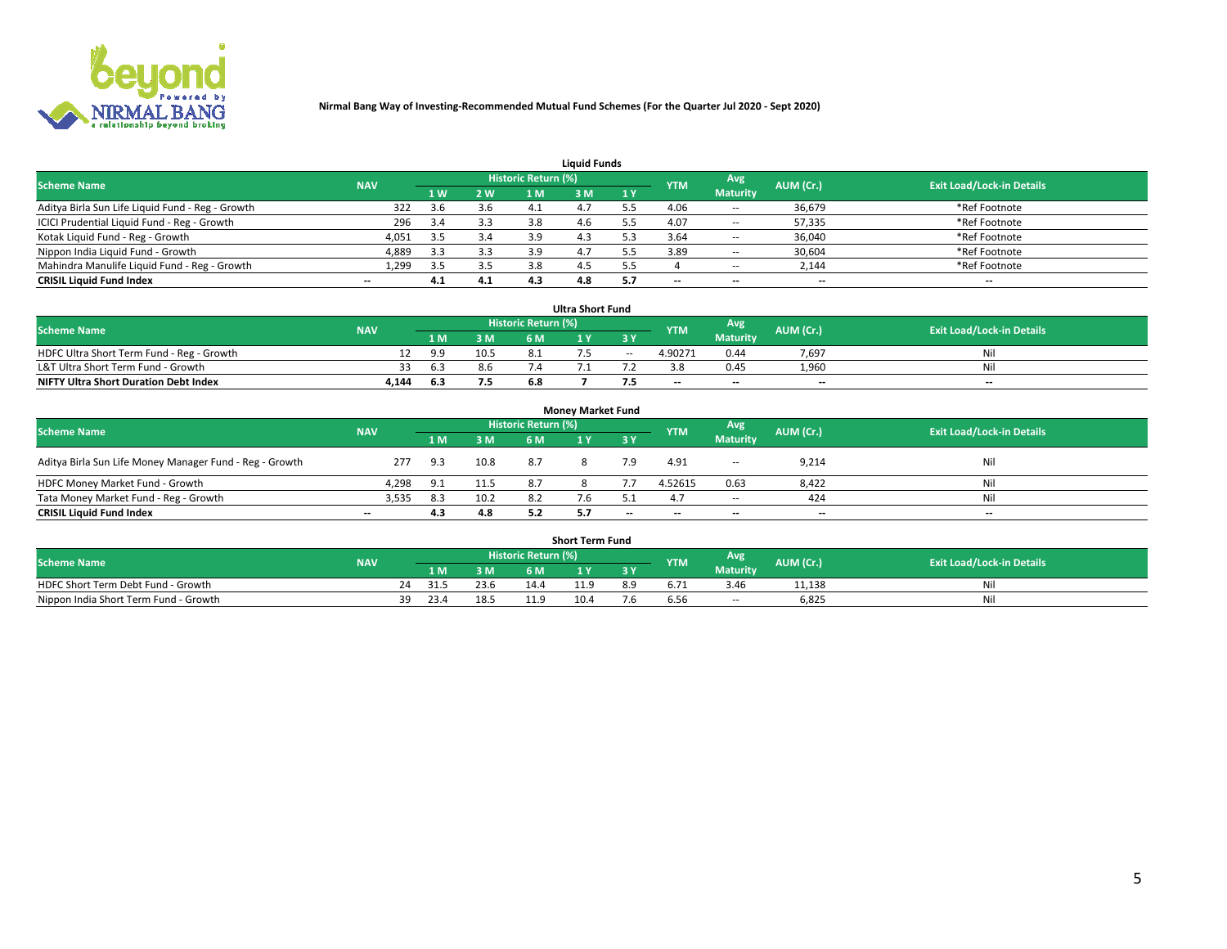

| <b>Liquid Funds</b>                              |            |                |     |                            |     |     |            |                 |           |                                  |  |  |  |  |
|--------------------------------------------------|------------|----------------|-----|----------------------------|-----|-----|------------|-----------------|-----------|----------------------------------|--|--|--|--|
| <b>Scheme Name</b>                               | <b>NAV</b> |                |     | <b>Historic Return (%)</b> |     |     | <b>YTM</b> | Avg             | AUM (Cr.) | <b>Exit Load/Lock-in Details</b> |  |  |  |  |
|                                                  |            | 1 <sub>W</sub> | 2 W |                            | : M | 1Y  |            | <b>Maturity</b> |           |                                  |  |  |  |  |
| Aditya Birla Sun Life Liquid Fund - Reg - Growth | 322        | 3.6            | 3.6 |                            |     |     | 4.06       | $\sim$ $-$      | 36,679    | *Ref Footnote                    |  |  |  |  |
| ICICI Prudential Liquid Fund - Reg - Growth      | 296        | 3.4            | 3.3 | 3.8                        | 4.6 |     | 4.07       | $\sim$ $-$      | 57,335    | *Ref Footnote                    |  |  |  |  |
| Kotak Liquid Fund - Reg - Growth                 | 4,051      | 3.5            | 3.4 | 3.9                        | 4.3 |     | 3.64       | $\sim$ $-$      | 36,040    | *Ref Footnote                    |  |  |  |  |
| Nippon India Liquid Fund - Growth                | 4,889      |                | 3.3 |                            | 4., |     | 3.89       | $\sim$ $-$      | 30,604    | *Ref Footnote                    |  |  |  |  |
| Mahindra Manulife Liquid Fund - Reg - Growth     | 1,299      | 3.5            | 3.5 | 3.8                        |     |     |            | $\sim$ $-$      | 2,144     | *Ref Footnote                    |  |  |  |  |
| <b>CRISIL Liquid Fund Index</b>                  | $- -$      | 4.1            | 4.1 |                            | 4.8 | 5.7 | $- -$      | $- -$           | --        | $\hspace{0.05cm} \cdots$         |  |  |  |  |

|                                              |            |      |      |                            | <b>Ultra Short Fund</b> |        |            |                 |                          |                                  |
|----------------------------------------------|------------|------|------|----------------------------|-------------------------|--------|------------|-----------------|--------------------------|----------------------------------|
| <b>Scheme Name</b>                           | <b>NAV</b> |      |      | <b>Historic Return (%)</b> |                         |        | <b>YTM</b> | <b>Avg</b>      | AUM (Cr.)                | <b>Exit Load/Lock-in Details</b> |
|                                              |            | 1 M. | 3 M  | 6 M                        |                         | 3 Y    |            | <b>Maturity</b> |                          |                                  |
| HDFC Ultra Short Term Fund - Reg - Growth    |            | 9.9  | 10.5 |                            |                         | $\sim$ | 4.90271    | 0.44            | 7,697                    | Nil                              |
| L&T Ultra Short Term Fund - Growth           |            | 63   | 8.6  |                            |                         |        |            | 0.45            | 1.960                    | Nil                              |
| <b>NIFTY Ultra Short Duration Debt Index</b> | 4,144      | 6.3  | 7.5  | 6.8                        |                         |        | $-$        | $- -$           | $\overline{\phantom{a}}$ | $- -$                            |

| <b>Money Market Fund</b>                                |                          |     |      |                     |  |       |                          |                 |                          |                                  |  |  |  |  |
|---------------------------------------------------------|--------------------------|-----|------|---------------------|--|-------|--------------------------|-----------------|--------------------------|----------------------------------|--|--|--|--|
| <b>Scheme Name</b>                                      | <b>NAV</b>               |     |      | Historic Return (%) |  |       | <b>YTM</b>               | Avg             | AUM (Cr.)                | <b>Exit Load/Lock-in Details</b> |  |  |  |  |
|                                                         |                          | 1 M | 3 M  | 6 M                 |  | 3 Y   |                          | <b>Maturity</b> |                          |                                  |  |  |  |  |
| Aditya Birla Sun Life Money Manager Fund - Reg - Growth | 277                      | 9.3 | 10.8 | 8.7                 |  | 7.9   | 4.91                     | $\sim$ $\sim$   | 9,214                    | Nil                              |  |  |  |  |
| HDFC Money Market Fund - Growth                         | 4.298                    | 9.1 | 11.5 | 8.7                 |  |       | 4.52615                  | 0.63            | 8,422                    | Nil                              |  |  |  |  |
| Tata Money Market Fund - Reg - Growth                   | 3,535                    | 8.3 | 10.2 |                     |  |       |                          | $\sim$ $-$      | 424                      | Nil                              |  |  |  |  |
| <b>CRISIL Liquid Fund Index</b>                         | $\overline{\phantom{a}}$ | 4.3 | 4.8  |                     |  | $- -$ | $\overline{\phantom{a}}$ | $- -$           | $\overline{\phantom{a}}$ | $- -$                            |  |  |  |  |

|                                       |            |      |      |                     | <b>Short Term Fund</b> |     |            |                 |           |                                  |
|---------------------------------------|------------|------|------|---------------------|------------------------|-----|------------|-----------------|-----------|----------------------------------|
| <b>Scheme Name</b>                    | <b>NAV</b> |      |      | Historic Return (%) |                        |     | <b>YTM</b> | Avg             | AUM (Cr.) | <b>Exit Load/Lock-in Details</b> |
|                                       |            | 1 M  | 3 M  | 6 M                 | <b>A</b>               | 2 V |            | <b>Maturity</b> |           |                                  |
| HDFC Short Term Debt Fund - Growth    |            | 31.5 | 23.6 | 14.4                |                        | 8.9 |            | 3.46            | 11,138    |                                  |
| Nippon India Short Term Fund - Growth | ٦a         | 23.4 | 18.! |                     | 10.4                   | d.' | b.5t       | $\sim$ $-$      | 6,825     | M                                |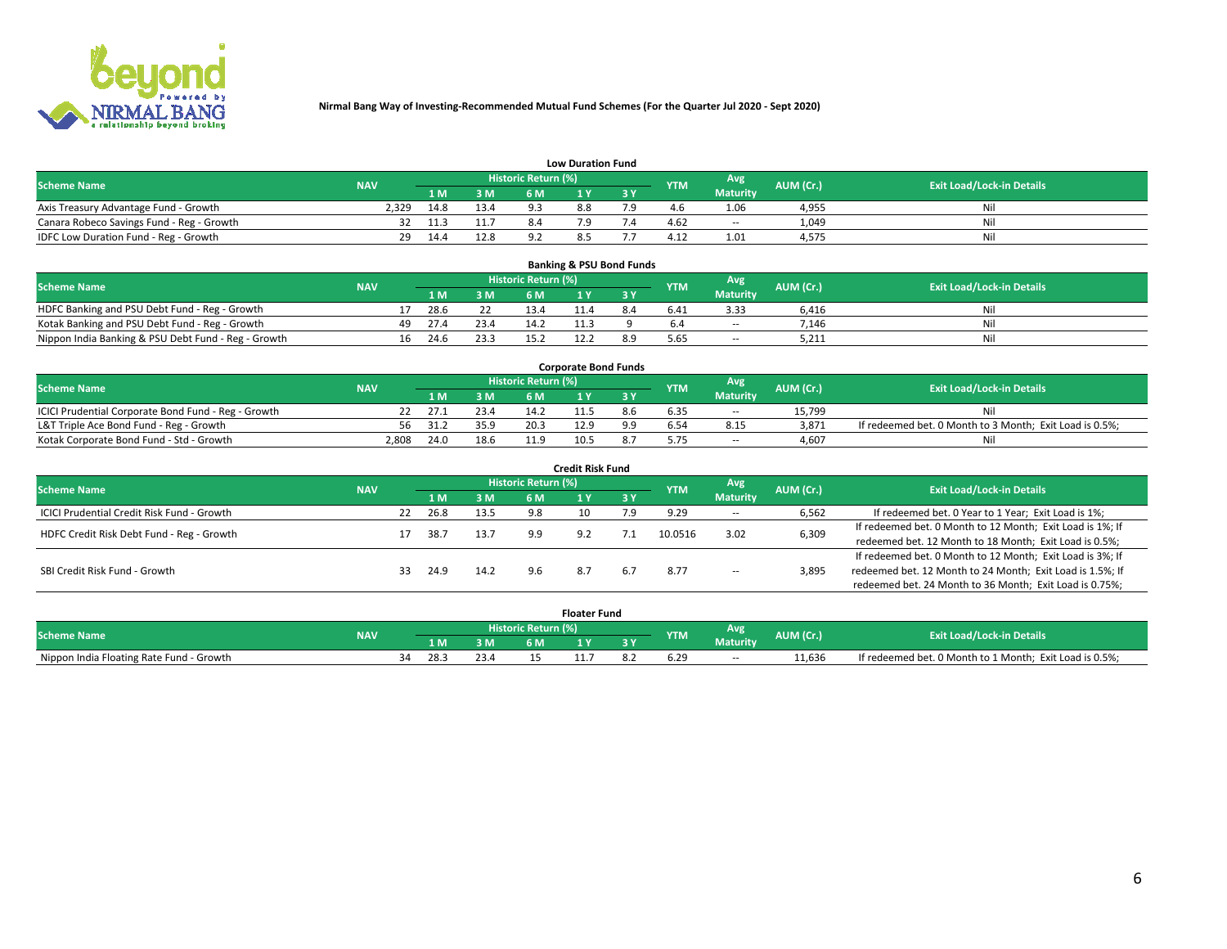

| <b>Low Duration Fund</b>                  |            |      |      |                     |     |  |            |                 |           |                                  |  |  |  |  |
|-------------------------------------------|------------|------|------|---------------------|-----|--|------------|-----------------|-----------|----------------------------------|--|--|--|--|
| <b>Scheme Name</b>                        | <b>NAV</b> |      |      | Historic Return (%) |     |  | <b>YTM</b> | Avg             | AUM (Cr.) | <b>Exit Load/Lock-in Details</b> |  |  |  |  |
|                                           |            | LM.  | 3 M  | 6 M                 |     |  |            | <b>Maturity</b> |           |                                  |  |  |  |  |
| Axis Treasury Advantage Fund - Growth     | 2.329      | 14.8 | 13.4 | oρ                  | 8.8 |  |            | 1.06            | 4,955     | Nil                              |  |  |  |  |
| Canara Robeco Savings Fund - Reg - Growth |            | 11.3 |      |                     |     |  | 4.62       | $- -$           | 1,049     | Nil                              |  |  |  |  |
| IDFC Low Duration Fund - Reg - Growth     | 29         | 14.4 | 12.8 |                     | 8.5 |  | 4.17       | 1.01            | 4,575     | Nil                              |  |  |  |  |

| <b>Banking &amp; PSU Bond Funds</b>                 |            |    |      |      |                            |  |  |            |                 |           |                                  |  |  |  |
|-----------------------------------------------------|------------|----|------|------|----------------------------|--|--|------------|-----------------|-----------|----------------------------------|--|--|--|
| <b>Scheme Name</b>                                  | <b>NAV</b> |    |      |      | <b>Historic Return (%)</b> |  |  | <b>YTM</b> | Avg             | AUM (Cr.) | <b>Exit Load/Lock-in Details</b> |  |  |  |
|                                                     |            |    |      | 3 M  | 6 M                        |  |  |            | <b>Maturity</b> |           |                                  |  |  |  |
| HDFC Banking and PSU Debt Fund - Reg - Growth       |            |    | 28.6 |      | 13.4                       |  |  | 6.41       | 3.33            | 6.416     | Nil                              |  |  |  |
| Kotak Banking and PSU Debt Fund - Reg - Growth      |            | 49 | 27.4 | 23.4 | 14.2                       |  |  |            | $\sim$ $-$      | 7.146     | Nil                              |  |  |  |
| Nippon India Banking & PSU Debt Fund - Reg - Growth |            | 16 | 24.6 | 23.3 |                            |  |  | 5.65       | --              | 5.211     | Ni                               |  |  |  |

| <b>Corporate Bond Funds</b>                         |            |      |      |                            |      |  |            |                 |           |                                                         |  |  |  |  |
|-----------------------------------------------------|------------|------|------|----------------------------|------|--|------------|-----------------|-----------|---------------------------------------------------------|--|--|--|--|
| <b>Scheme Name</b>                                  | <b>NAV</b> |      |      | <b>Historic Return (%)</b> |      |  | <b>YTM</b> | Avg             | AUM (Cr.) | <b>Exit Load/Lock-in Details</b>                        |  |  |  |  |
|                                                     |            |      | 3 M  | 6 M                        |      |  |            | <b>Maturity</b> |           |                                                         |  |  |  |  |
| ICICI Prudential Corporate Bond Fund - Reg - Growth |            | 27.1 | 23.4 | 14.2                       |      |  |            | $- -$           | 15.799    | Nil                                                     |  |  |  |  |
| L&T Triple Ace Bond Fund - Reg - Growth             | 56         | 31.2 | 35.9 | 20.3                       |      |  |            | 8.15            | 3,871     | If redeemed bet. 0 Month to 3 Month; Exit Load is 0.5%; |  |  |  |  |
| Kotak Corporate Bond Fund - Std - Growth            | 2,808      | 24.0 | 18.6 | 11Q                        | 10.5 |  |            | $\sim$ $-$      | 4.607     | Nil                                                     |  |  |  |  |

| <b>Credit Risk Fund</b>                    |            |    |      |      |                            |     |       |            |                     |                                                           |                                                           |  |
|--------------------------------------------|------------|----|------|------|----------------------------|-----|-------|------------|---------------------|-----------------------------------------------------------|-----------------------------------------------------------|--|
| <b>Scheme Name</b>                         | <b>NAV</b> |    |      |      | <b>Historic Return (%)</b> |     |       | <b>YTM</b> | Avg                 | AUM (Cr.)                                                 | <b>Exit Load/Lock-in Details</b>                          |  |
|                                            |            |    | 1 M  | 3M   | 6 M                        |     | 73 Y. |            | <b>Maturity</b>     |                                                           |                                                           |  |
| ICICI Prudential Credit Risk Fund - Growth |            | 22 | 26.8 | 13.5 | 9.8                        |     | و.י   | 9.29       | $\sim$ $-$          | 6,562                                                     | If redeemed bet. 0 Year to 1 Year; Exit Load is 1%;       |  |
| HDFC Credit Risk Debt Fund - Reg - Growth  |            |    | 38.7 | 13.7 |                            | 9.2 |       | 10.0516    | 3.02                | 6,309                                                     | If redeemed bet. 0 Month to 12 Month; Exit Load is 1%; If |  |
|                                            |            |    |      |      |                            |     |       |            |                     |                                                           | redeemed bet. 12 Month to 18 Month; Exit Load is 0.5%;    |  |
|                                            |            |    |      |      |                            |     |       |            |                     |                                                           | If redeemed bet. 0 Month to 12 Month; Exit Load is 3%; If |  |
| SBI Credit Risk Fund - Growth              |            | 33 | 24.9 | 14.2 | 9.6                        | 8.7 | 6.7   | 8.77       | 3,895<br>$\sim$ $-$ | redeemed bet. 12 Month to 24 Month; Exit Load is 1.5%; If |                                                           |  |
|                                            |            |    |      |      |                            |     |       |            |                     |                                                           | redeemed bet. 24 Month to 36 Month; Exit Load is 0.75%;   |  |

| <b>Floater Fung</b>                      |            |           |      |                      |   |  |            |                        |           |                                                         |  |
|------------------------------------------|------------|-----------|------|----------------------|---|--|------------|------------------------|-----------|---------------------------------------------------------|--|
| <b>Scheme Name</b>                       | <b>NAV</b> |           |      | 'Historic Return (%) |   |  | <b>YTM</b> | Avg<br><b>Maturity</b> | AUM (Cr.) | <b>Exit Load/Lock-in Details</b>                        |  |
|                                          |            | 1 M       | ЗM   | 6 M                  | . |  |            |                        |           |                                                         |  |
| Nippon India Floating Rate Fund - Growth |            | 28.<br>34 | 43.4 |                      |   |  |            | $- -$                  | 11,636    | If redeemed bet. 0 Month to 1 Month; Exit Load is 0.5%; |  |